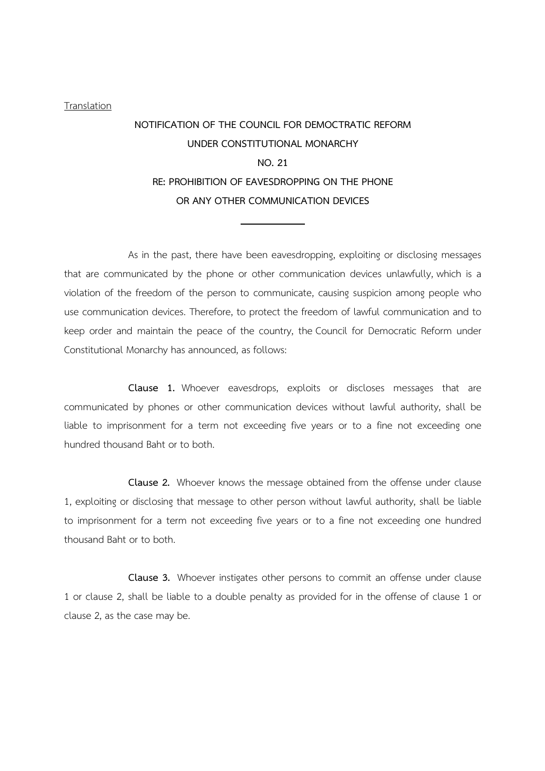## Translation

## NOTIFICATION OF THE COUNCIL FOR DEMOCTRATIC REFORM UNDER CONSTITUTIONAL MONARCHY NO. 21 RE: PROHIBITION OF EAVESDROPPING ON THE PHONE OR ANY OTHER COMMUNICATION DEVICES

 As in the past, there have been eavesdropping, exploiting or disclosing messages that are communicated by the phone or other communication devices unlawfully, which is a violation of the freedom of the person to communicate, causing suspicion among people who use communication devices. Therefore, to protect the freedom of lawful communication and to keep order and maintain the peace of the country, the Council for Democratic Reform under Constitutional Monarchy has announced, as follows:

 Clause 1. Whoever eavesdrops, exploits or discloses messages that are communicated by phones or other communication devices without lawful authority, shall be liable to imprisonment for a term not exceeding five years or to a fine not exceeding one hundred thousand Baht or to both.

 Clause 2. Whoever knows the message obtained from the offense under clause 1, exploiting or disclosing that message to other person without lawful authority, shall be liable to imprisonment for a term not exceeding five years or to a fine not exceeding one hundred thousand Baht or to both.

 Clause 3. Whoever instigates other persons to commit an offense under clause 1 or clause 2, shall be liable to a double penalty as provided for in the offense of clause 1 or clause 2, as the case may be.